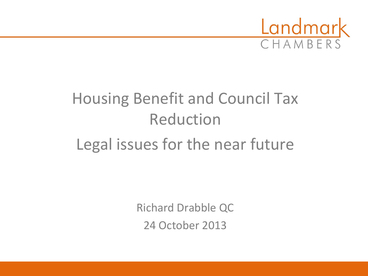

## Housing Benefit and Council Tax Reduction Legal issues for the near future

Richard Drabble QC 24 October 2013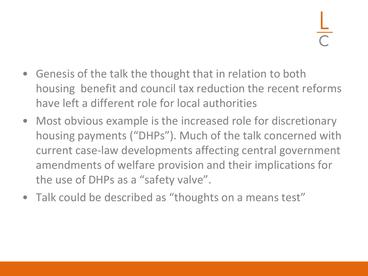- Genesis of the talk the thought that in relation to both housing benefit and council tax reduction the recent reforms have left a different role for local authorities
- Most obvious example is the increased role for discretionary housing payments ("DHPs"). Much of the talk concerned with current case-law developments affecting central government amendments of welfare provision and their implications for the use of DHPs as a "safety valve".
- Talk could be described as "thoughts on a means test"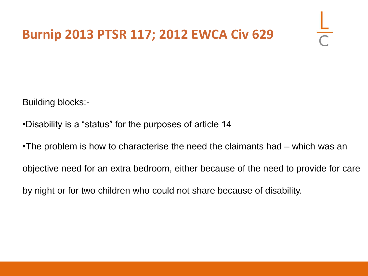### **Burnip 2013 PTSR 117; 2012 EWCA Civ 629**

Building blocks:-

- •Disability is a "status" for the purposes of article 14
- •The problem is how to characterise the need the claimants had which was an

objective need for an extra bedroom, either because of the need to provide for care

by night or for two children who could not share because of disability.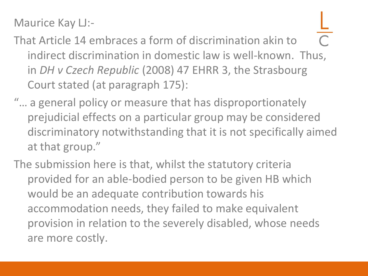Maurice Kay LJ:-

- That Article 14 embraces a form of discrimination akin to indirect discrimination in domestic law is well-known. Thus, in *DH v Czech Republic* (2008) 47 EHRR 3, the Strasbourg Court stated (at paragraph 175):
- "… a general policy or measure that has disproportionately prejudicial effects on a particular group may be considered discriminatory notwithstanding that it is not specifically aimed at that group."
- The submission here is that, whilst the statutory criteria provided for an able-bodied person to be given HB which would be an adequate contribution towards his accommodation needs, they failed to make equivalent provision in relation to the severely disabled, whose needs are more costly.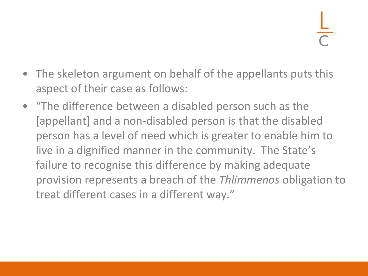- The skeleton argument on behalf of the appellants puts this aspect of their case as follows:
- "The difference between a disabled person such as the [appellant] and a non-disabled person is that the disabled person has a level of need which is greater to enable him to live in a dignified manner in the community. The State's failure to recognise this difference by making adequate provision represents a breach of the *Thlimmenos* obligation to treat different cases in a different way."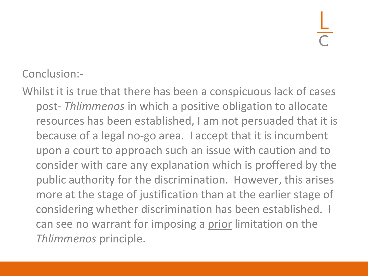Conclusion:-

Whilst it is true that there has been a conspicuous lack of cases post- *Thlimmenos* in which a positive obligation to allocate resources has been established, I am not persuaded that it is because of a legal no-go area. I accept that it is incumbent upon a court to approach such an issue with caution and to consider with care any explanation which is proffered by the public authority for the discrimination. However, this arises more at the stage of justification than at the earlier stage of considering whether discrimination has been established. I can see no warrant for imposing a prior limitation on the *Thlimmenos* principle.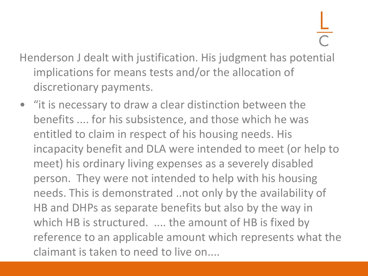- Henderson J dealt with justification. His judgment has potential implications for means tests and/or the allocation of discretionary payments.
- "it is necessary to draw a clear distinction between the benefits .... for his subsistence, and those which he was entitled to claim in respect of his housing needs. His incapacity benefit and DLA were intended to meet (or help to meet) his ordinary living expenses as a severely disabled person. They were not intended to help with his housing needs. This is demonstrated ..not only by the availability of HB and DHPs as separate benefits but also by the way in which HB is structured. .... the amount of HB is fixed by reference to an applicable amount which represents what the claimant is taken to need to live on....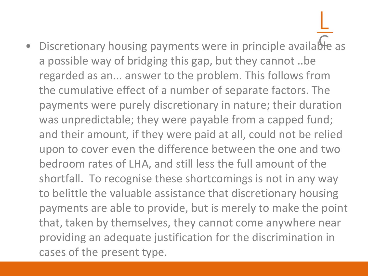Discretionary housing payments were in principle available as a possible way of bridging this gap, but they cannot ..be regarded as an... answer to the problem. This follows from the cumulative effect of a number of separate factors. The payments were purely discretionary in nature; their duration was unpredictable; they were payable from a capped fund; and their amount, if they were paid at all, could not be relied upon to cover even the difference between the one and two bedroom rates of LHA, and still less the full amount of the shortfall. To recognise these shortcomings is not in any way to belittle the valuable assistance that discretionary housing payments are able to provide, but is merely to make the point that, taken by themselves, they cannot come anywhere near providing an adequate justification for the discrimination in cases of the present type.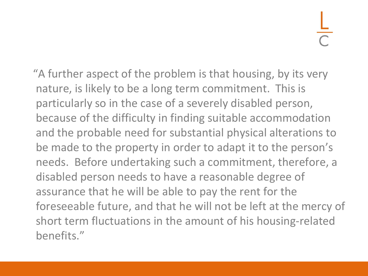"A further aspect of the problem is that housing, by its very nature, is likely to be a long term commitment. This is particularly so in the case of a severely disabled person, because of the difficulty in finding suitable accommodation and the probable need for substantial physical alterations to be made to the property in order to adapt it to the person's needs. Before undertaking such a commitment, therefore, a disabled person needs to have a reasonable degree of assurance that he will be able to pay the rent for the foreseeable future, and that he will not be left at the mercy of short term fluctuations in the amount of his housing-related benefits."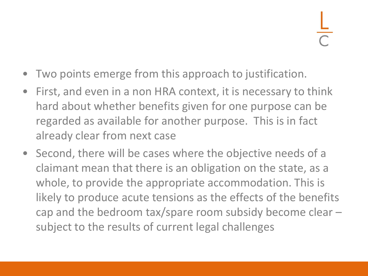- Two points emerge from this approach to justification.
- First, and even in a non HRA context, it is necessary to think hard about whether benefits given for one purpose can be regarded as available for another purpose. This is in fact already clear from next case
- Second, there will be cases where the objective needs of a claimant mean that there is an obligation on the state, as a whole, to provide the appropriate accommodation. This is likely to produce acute tensions as the effects of the benefits cap and the bedroom tax/spare room subsidy become clear – subject to the results of current legal challenges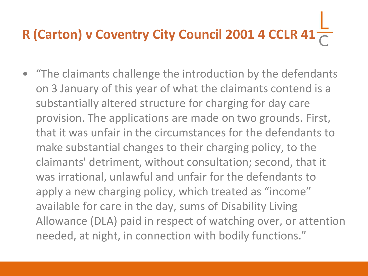# **R (Carton) v Coventry City Council 2001 4 CCLR 41**

• "The claimants challenge the introduction by the defendants on 3 January of this year of what the claimants contend is a substantially altered structure for charging for day care provision. The applications are made on two grounds. First, that it was unfair in the circumstances for the defendants to make substantial changes to their charging policy, to the claimants' detriment, without consultation; second, that it was irrational, unlawful and unfair for the defendants to apply a new charging policy, which treated as "income" available for care in the day, sums of Disability Living Allowance (DLA) paid in respect of watching over, or attention needed, at night, in connection with bodily functions."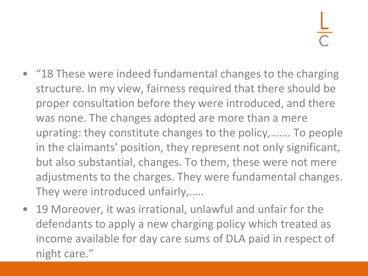- "18 These were indeed fundamental changes to the charging structure. In my view, fairness required that there should be proper consultation before they were introduced, and there was none. The changes adopted are more than a mere uprating: they constitute changes to the policy,……. To people in the claimants' position, they represent not only significant, but also substantial, changes. To them, these were not mere adjustments to the charges. They were fundamental changes. They were introduced unfairly,…..
- 19 Moreover, it was irrational, unlawful and unfair for the defendants to apply a new charging policy which treated as income available for day care sums of DLA paid in respect of night care."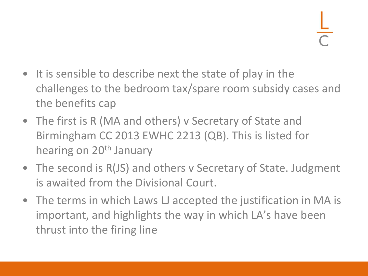- It is sensible to describe next the state of play in the challenges to the bedroom tax/spare room subsidy cases and the benefits cap
- The first is R (MA and others) v Secretary of State and Birmingham CC 2013 EWHC 2213 (QB). This is listed for hearing on 20<sup>th</sup> January
- The second is R(JS) and others v Secretary of State. Judgment is awaited from the Divisional Court.
- The terms in which Laws LJ accepted the justification in MA is important, and highlights the way in which LA's have been thrust into the firing line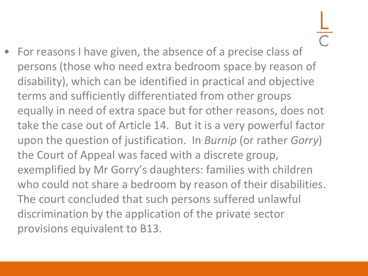• For reasons I have given, the absence of a precise class of persons (those who need extra bedroom space by reason of disability), which can be identified in practical and objective terms and sufficiently differentiated from other groups equally in need of extra space but for other reasons, does not take the case out of Article 14. But it is a very powerful factor upon the question of justification. In *Burnip* (or rather *Gorry*) the Court of Appeal was faced with a discrete group, exemplified by Mr Gorry's daughters: families with children who could not share a bedroom by reason of their disabilities. The court concluded that such persons suffered unlawful discrimination by the application of the private sector provisions equivalent to B13.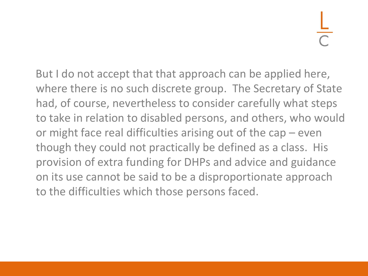But I do not accept that that approach can be applied here, where there is no such discrete group. The Secretary of State had, of course, nevertheless to consider carefully what steps to take in relation to disabled persons, and others, who would or might face real difficulties arising out of the cap – even though they could not practically be defined as a class. His provision of extra funding for DHPs and advice and guidance on its use cannot be said to be a disproportionate approach to the difficulties which those persons faced.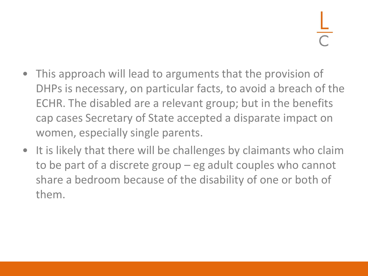- This approach will lead to arguments that the provision of DHPs is necessary, on particular facts, to avoid a breach of the ECHR. The disabled are a relevant group; but in the benefits cap cases Secretary of State accepted a disparate impact on women, especially single parents.
- It is likely that there will be challenges by claimants who claim to be part of a discrete group – eg adult couples who cannot share a bedroom because of the disability of one or both of them.